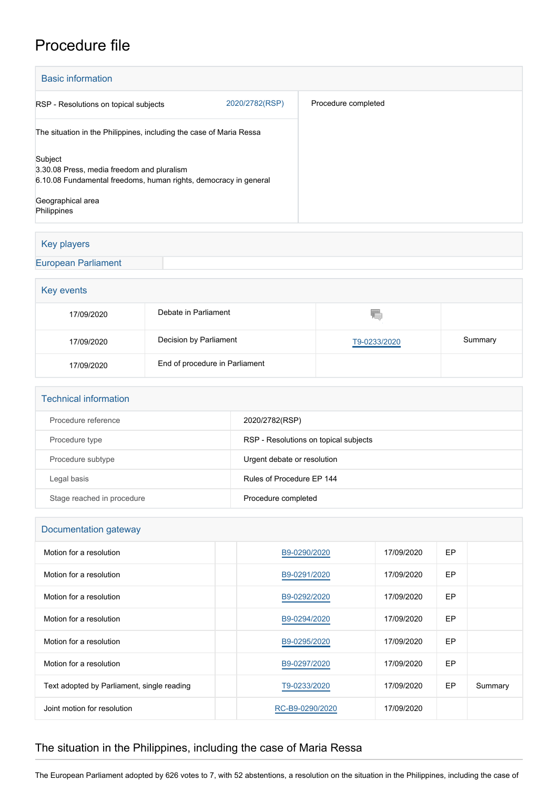## Procedure file

| <b>Basic information</b>                                            |                |                     |  |  |  |  |
|---------------------------------------------------------------------|----------------|---------------------|--|--|--|--|
| RSP - Resolutions on topical subjects                               | 2020/2782(RSP) | Procedure completed |  |  |  |  |
| The situation in the Philippines, including the case of Maria Ressa |                |                     |  |  |  |  |
| Subject<br>3.30.08 Press, media freedom and pluralism               |                |                     |  |  |  |  |
| 6.10.08 Fundamental freedoms, human rights, democracy in general    |                |                     |  |  |  |  |
| Geographical area                                                   |                |                     |  |  |  |  |
| Philippines                                                         |                |                     |  |  |  |  |

### Key players

[European Parliament](http://www.europarl.europa.eu/)

# Key events Q 17/09/2020 Debate in Parliament 17/09/2020 Decision by Parliament [T9-0233/2020](https://www.europarl.europa.eu/doceo/document/TA-9-2020-0233_EN.html) Summary 17/09/2020 End of procedure in Parliament

| Procedure reference        | 2020/2782(RSP)                        |
|----------------------------|---------------------------------------|
| Procedure type             | RSP - Resolutions on topical subjects |
| Procedure subtype          | Urgent debate or resolution           |
| Legal basis                | Rules of Procedure FP 144             |
| Stage reached in procedure | Procedure completed                   |

#### Documentation gateway

| Motion for a resolution                    | B9-0290/2020    | 17/09/2020 | <b>EP</b> |         |
|--------------------------------------------|-----------------|------------|-----------|---------|
| Motion for a resolution                    | B9-0291/2020    | 17/09/2020 | <b>EP</b> |         |
| Motion for a resolution                    | B9-0292/2020    | 17/09/2020 | <b>EP</b> |         |
| Motion for a resolution                    | B9-0294/2020    | 17/09/2020 | EP        |         |
| Motion for a resolution                    | B9-0295/2020    | 17/09/2020 | <b>EP</b> |         |
| Motion for a resolution                    | B9-0297/2020    | 17/09/2020 | <b>EP</b> |         |
| Text adopted by Parliament, single reading | T9-0233/2020    | 17/09/2020 | <b>EP</b> | Summary |
| Joint motion for resolution                | RC-B9-0290/2020 | 17/09/2020 |           |         |

### The situation in the Philippines, including the case of Maria Ressa

The European Parliament adopted by 626 votes to 7, with 52 abstentions, a resolution on the situation in the Philippines, including the case of